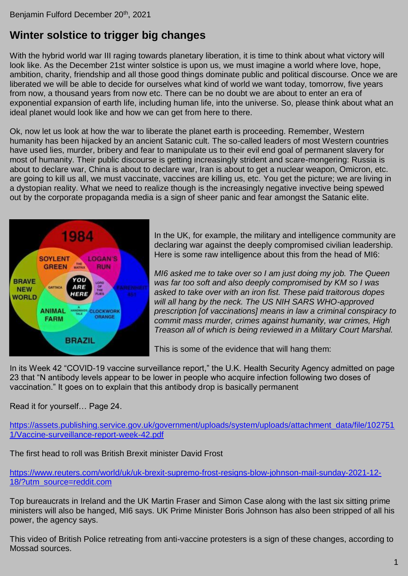## **Winter solstice to trigger big changes**

With the hybrid world war III raging towards planetary liberation, it is time to think about what victory will look like. As the December 21st winter solstice is upon us, we must imagine a world where love, hope, ambition, charity, friendship and all those good things dominate public and political discourse. Once we are liberated we will be able to decide for ourselves what kind of world we want today, tomorrow, five years from now, a thousand years from now etc. There can be no doubt we are about to enter an era of exponential expansion of earth life, including human life, into the universe. So, please think about what an ideal planet would look like and how we can get from here to there.

Ok, now let us look at how the war to liberate the planet earth is proceeding. Remember, Western humanity has been hijacked by an ancient Satanic cult. The so-called leaders of most Western countries have used lies, murder, bribery and fear to manipulate us to their evil end goal of permanent slavery for most of humanity. Their public discourse is getting increasingly strident and scare-mongering: Russia is about to declare war, China is about to declare war, Iran is about to get a nuclear weapon, Omicron, etc. are going to kill us all, we must vaccinate, vaccines are killing us, etc. You get the picture; we are living in a dystopian reality. What we need to realize though is the increasingly negative invective being spewed out by the corporate propaganda media is a sign of sheer panic and fear amongst the Satanic elite.



In the UK, for example, the military and intelligence community are declaring war against the deeply compromised civilian leadership. Here is some raw intelligence about this from the head of MI6:

*MI6 asked me to take over so I am just doing my job. The Queen was far too soft and also deeply compromised by KM so I was asked to take over with an iron fist. These paid traitorous dopes will all hang by the neck. The US NIH SARS WHO-approved prescription [of vaccinations] means in law a criminal conspiracy to commit mass murder, crimes against humanity, war crimes, High Treason all of which is being reviewed in a Military Court Marshal.*

This is some of the evidence that will hang them:

In its Week 42 "COVID-19 vaccine surveillance report," the U.K. Health Security Agency admitted on page 23 that "N antibody levels appear to be lower in people who acquire infection following two doses of vaccination." It goes on to explain that this antibody drop is basically permanent

Read it for yourself… Page 24.

[https://assets.publishing.service.gov.uk/government/uploads/system/uploads/attachment\\_data/file/102751](https://assets.publishing.service.gov.uk/government/uploads/system/uploads/attachment_data/file/1027511/Vaccine-surveillance-report-week-42.pdf) [1/Vaccine-surveillance-report-week-42.pdf](https://assets.publishing.service.gov.uk/government/uploads/system/uploads/attachment_data/file/1027511/Vaccine-surveillance-report-week-42.pdf)

The first head to roll was British Brexit minister David Frost

[https://www.reuters.com/world/uk/uk-brexit-supremo-frost-resigns-blow-johnson-mail-sunday-2021-12-](https://www.reuters.com/world/uk/uk-brexit-supremo-frost-resigns-blow-johnson-mail-sunday-2021-12-18/?utm_source=reddit.com) [18/?utm\\_source=reddit.com](https://www.reuters.com/world/uk/uk-brexit-supremo-frost-resigns-blow-johnson-mail-sunday-2021-12-18/?utm_source=reddit.com)

Top bureaucrats in Ireland and the UK Martin Fraser and Simon Case along with the last six sitting prime ministers will also be hanged, MI6 says. UK Prime Minister Boris Johnson has also been stripped of all his power, the agency says.

This video of British Police retreating from anti-vaccine protesters is a sign of these changes, according to Mossad sources.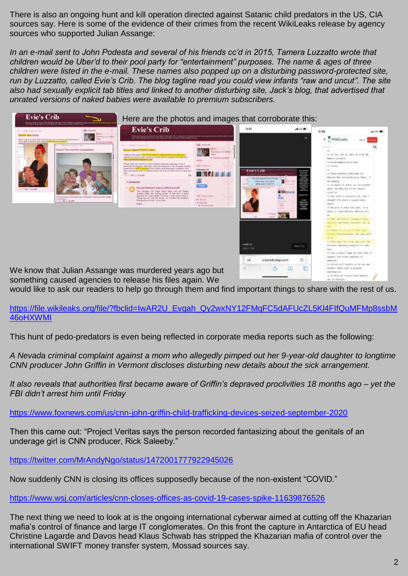There is also an ongoing hunt and kill operation directed against Satanic child predators in the US, CIA sources say. Here is some of the evidence of their crimes from the recent WikiLeaks release by agency sources who supported Julian Assange:

*In an e-mail sent to John Podesta and several of his friends cc'd in 2015, Tamera Luzzatto wrote that children would be Uber'd to their pool party for "entertainment" purposes. The name & ages of three children were listed in the e-mail. These names also popped up on a disturbing password-protected site, run by Luzzatto, called Evie's Crib. The blog tagline read you could view infants "raw and uncut". The site*  also had sexually explicit tab titles and linked to another disturbing site, Jack's blog, that advertised that *unrated versions of naked babies were available to premium subscribers.*



Here are the photos and images that corroborate this:





We know that Julian Assange was murdered years ago but something caused agencies to release his files again. We

would like to ask our readers to help go through them and find important things to share with the rest of us.

https://file.wikileaks.org/file/?fbclid=IwAR2U\_Evgah\_Qy2wxNY12FMqFC5dAFUcZL5KI4FIfQuMFMp8ssbM [46oHXWMI](https://file.wikileaks.org/file/?fbclid=IwAR2U_Evqah_Qy2wxNY12FMqFC5dAFUcZL5Kl4FIfQuMFMp8ssbM46oHXWMI)

This hunt of pedo-predators is even being reflected in corporate media reports such as the following:

*A Nevada criminal complaint against a mom who allegedly pimped out her 9-year-old daughter to longtime CNN producer John Griffin in Vermont discloses disturbing new details about the sick arrangement.*

*It also reveals that authorities first became aware of Griffin's depraved proclivities 18 months ago – yet the FBI didn't arrest him until Friday*

<https://www.foxnews.com/us/cnn-john-griffin-child-trafficking-devices-seized-september-2020>

Then this came out: "Project Veritas says the person recorded fantasizing about the genitals of an underage girl is CNN producer, Rick Saleeby."

<https://twitter.com/MrAndyNgo/status/1472001777922945026>

Now suddenly CNN is closing its offices supposedly because of the non-existent "COVID."

<https://www.wsj.com/articles/cnn-closes-offices-as-covid-19-cases-spike-11639876526>

The next thing we need to look at is the ongoing international cyberwar aimed at cutting off the Khazarian mafia's control of finance and large IT conglomerates. On this front the capture in Antarctica of EU head Christine Lagarde and Davos head Klaus Schwab has stripped the Khazarian mafia of control over the international SWIFT money transfer system, Mossad sources say.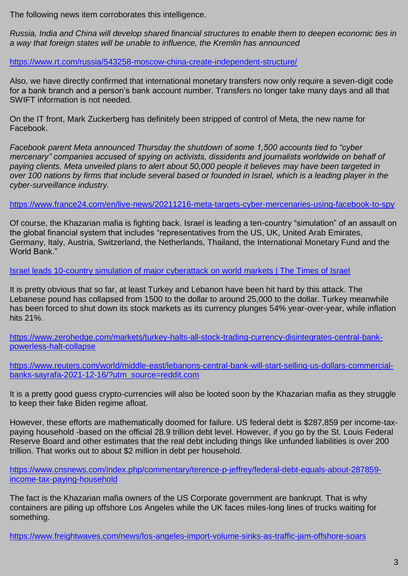The following news item corroborates this intelligence.

*Russia, India and China will develop shared financial structures to enable them to deepen economic ties in a way that foreign states will be unable to influence, the Kremlin has announced*

<https://www.rt.com/russia/543258-moscow-china-create-independent-structure/>

Also, we have directly confirmed that international monetary transfers now only require a seven-digit code for a bank branch and a person's bank account number. Transfers no longer take many days and all that SWIFT information is not needed.

On the IT front, Mark Zuckerberg has definitely been stripped of control of Meta, the new name for Facebook.

*Facebook parent Meta announced Thursday the shutdown of some 1,500 accounts tied to "cyber mercenary" companies accused of spying on activists, dissidents and journalists worldwide on behalf of paying clients. Meta unveiled plans to alert about 50,000 people it believes may have been targeted in over 100 nations by firms that include several based or founded in Israel, which is a leading player in the cyber-surveillance industry.*

<https://www.france24.com/en/live-news/20211216-meta-targets-cyber-mercenaries-using-facebook-to-spy>

Of course, the Khazarian mafia is fighting back. Israel is leading a ten-country "simulation" of an assault on the global financial system that includes "representatives from the US, UK, United Arab Emirates, Germany, Italy, Austria, Switzerland, the Netherlands, Thailand, the International Monetary Fund and the World Bank<sup>"</sup>

[Israel leads 10-country simulation of major cyberattack on world markets | The Times of Israel](https://www.timesofisrael.com/israel-said-to-lead-10-country-simulation-of-major-cyberattack-on-world-markets/)

It is pretty obvious that so far, at least Turkey and Lebanon have been hit hard by this attack. The Lebanese pound has collapsed from 1500 to the dollar to around 25,000 to the dollar. Turkey meanwhile has been forced to shut down its stock markets as its currency plunges 54% year-over-year, while inflation hits 21%.

[https://www.zerohedge.com/markets/turkey-halts-all-stock-trading-currency-disintegrates-central-bank](https://www.zerohedge.com/markets/turkey-halts-all-stock-trading-currency-disintegrates-central-bank-powerless-halt-collapse)[powerless-halt-collapse](https://www.zerohedge.com/markets/turkey-halts-all-stock-trading-currency-disintegrates-central-bank-powerless-halt-collapse)

[https://www.reuters.com/world/middle-east/lebanons-central-bank-will-start-selling-us-dollars-commercial](https://www.reuters.com/world/middle-east/lebanons-central-bank-will-start-selling-us-dollars-commercial-banks-sayrafa-2021-12-16/?utm_source=reddit.com)[banks-sayrafa-2021-12-16/?utm\\_source=reddit.com](https://www.reuters.com/world/middle-east/lebanons-central-bank-will-start-selling-us-dollars-commercial-banks-sayrafa-2021-12-16/?utm_source=reddit.com)

It is a pretty good guess crypto-currencies will also be looted soon by the Khazarian mafia as they struggle to keep their fake Biden regime afloat.

However, these efforts are mathematically doomed for failure. US federal debt is \$287,859 per income-taxpaying household -based on the official 28.9 trillion debt level. However, if you go by the St. Louis Federal Reserve Board and other estimates that the real debt including things like unfunded liabilities is over 200 trillion. That works out to about \$2 million in debt per household.

[https://www.cnsnews.com/index.php/commentary/terence-p-jeffrey/federal-debt-equals-about-287859](https://www.cnsnews.com/index.php/commentary/terence-p-jeffrey/federal-debt-equals-about-287859-income-tax-paying-household) [income-tax-paying-household](https://www.cnsnews.com/index.php/commentary/terence-p-jeffrey/federal-debt-equals-about-287859-income-tax-paying-household)

The fact is the Khazarian mafia owners of the US Corporate government are bankrupt. That is why containers are piling up offshore Los Angeles while the UK faces miles-long lines of trucks waiting for something.

<https://www.freightwaves.com/news/los-angeles-import-volume-sinks-as-traffic-jam-offshore-soars>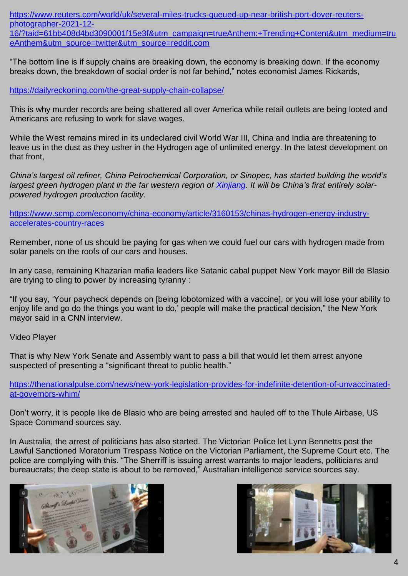[https://www.reuters.com/world/uk/several-miles-trucks-queued-up-near-british-port-dover-reuters](https://www.reuters.com/world/uk/several-miles-trucks-queued-up-near-british-port-dover-reuters-photographer-2021-12-16/?taid=61bb408d4bd3090001f15e3f&utm_campaign=trueAnthem:+Trending+Content&utm_medium=trueAnthem&utm_source=twitter&utm_source=reddit.com)[photographer-2021-12-](https://www.reuters.com/world/uk/several-miles-trucks-queued-up-near-british-port-dover-reuters-photographer-2021-12-16/?taid=61bb408d4bd3090001f15e3f&utm_campaign=trueAnthem:+Trending+Content&utm_medium=trueAnthem&utm_source=twitter&utm_source=reddit.com)

[16/?taid=61bb408d4bd3090001f15e3f&utm\\_campaign=trueAnthem:+Trending+Content&utm\\_medium=tru](https://www.reuters.com/world/uk/several-miles-trucks-queued-up-near-british-port-dover-reuters-photographer-2021-12-16/?taid=61bb408d4bd3090001f15e3f&utm_campaign=trueAnthem:+Trending+Content&utm_medium=trueAnthem&utm_source=twitter&utm_source=reddit.com) [eAnthem&utm\\_source=twitter&utm\\_source=reddit.com](https://www.reuters.com/world/uk/several-miles-trucks-queued-up-near-british-port-dover-reuters-photographer-2021-12-16/?taid=61bb408d4bd3090001f15e3f&utm_campaign=trueAnthem:+Trending+Content&utm_medium=trueAnthem&utm_source=twitter&utm_source=reddit.com)

"The bottom line is if supply chains are breaking down, the economy is breaking down. If the economy breaks down, the breakdown of social order is not far behind," notes economist James Rickards,

<https://dailyreckoning.com/the-great-supply-chain-collapse/>

This is why murder records are being shattered all over America while retail outlets are being looted and Americans are refusing to work for slave wages.

While the West remains mired in its undeclared civil World War III, China and India are threatening to leave us in the dust as they usher in the Hydrogen age of unlimited energy. In the latest development on that front,

*China's largest oil refiner, China Petrochemical Corporation, or Sinopec, has started building the world's largest green hydrogen plant in the far western region of [Xinjiang.](https://www.scmp.com/knowledge/places/xinjiang?module=inline_auto&pgtype=article) It will be China's first entirely solarpowered hydrogen production facility.*

[https://www.scmp.com/economy/china-economy/article/3160153/chinas-hydrogen-energy-industry](https://www.scmp.com/economy/china-economy/article/3160153/chinas-hydrogen-energy-industry-accelerates-country-races)[accelerates-country-races](https://www.scmp.com/economy/china-economy/article/3160153/chinas-hydrogen-energy-industry-accelerates-country-races)

Remember, none of us should be paying for gas when we could fuel our cars with hydrogen made from solar panels on the roofs of our cars and houses.

In any case, remaining Khazarian mafia leaders like Satanic cabal puppet New York mayor Bill de Blasio are trying to cling to power by increasing tyranny :

"If you say, 'Your paycheck depends on [being lobotomized with a vaccine], or you will lose your ability to enjoy life and go do the things you want to do,' people will make the practical decision," the New York mayor said in a CNN interview.

Video Player

That is why New York Senate and Assembly want to pass a bill that would let them arrest anyone suspected of presenting a "significant threat to public health."

[https://thenationalpulse.com/news/new-york-legislation-provides-for-indefinite-detention-of-unvaccinated](https://thenationalpulse.com/news/new-york-legislation-provides-for-indefinite-detention-of-unvaccinated-at-governors-whim/)[at-governors-whim/](https://thenationalpulse.com/news/new-york-legislation-provides-for-indefinite-detention-of-unvaccinated-at-governors-whim/)

Don't worry, it is people like de Blasio who are being arrested and hauled off to the Thule Airbase, US Space Command sources say.

In Australia, the arrest of politicians has also started. The Victorian Police let Lynn Bennetts post the Lawful Sanctioned Moratorium Trespass Notice on the Victorian Parliament, the Supreme Court etc. The police are complying with this. "The Sherriff is issuing arrest warrants to major leaders, politicians and bureaucrats; the deep state is about to be removed," Australian intelligence service sources say.